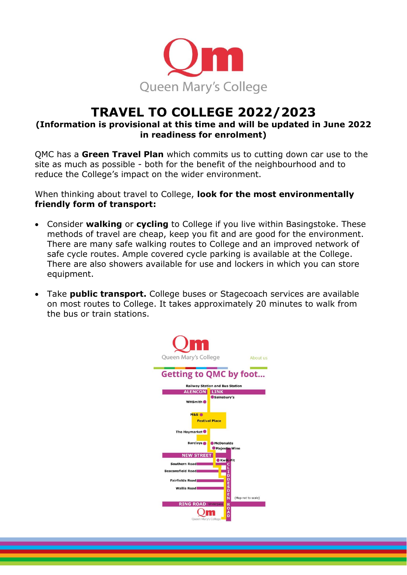

# **TRAVEL TO COLLEGE 2022/2023**

### **(Information is provisional at this time and will be updated in June 2022 in readiness for enrolment)**

QMC has a **Green Travel Plan** which commits us to cutting down car use to the site as much as possible - both for the benefit of the neighbourhood and to reduce the College's impact on the wider environment.

When thinking about travel to College, **look for the most environmentally friendly form of transport:**

- Consider **walking** or **cycling** to College if you live within Basingstoke. These methods of travel are cheap, keep you fit and are good for the environment. There are many safe walking routes to College and an improved network of safe cycle routes. Ample covered cycle parking is available at the College. There are also showers available for use and lockers in which you can store equipment.
- Take **public transport.** College buses or Stagecoach services are available on most routes to College. It takes approximately 20 minutes to walk from the bus or train stations.

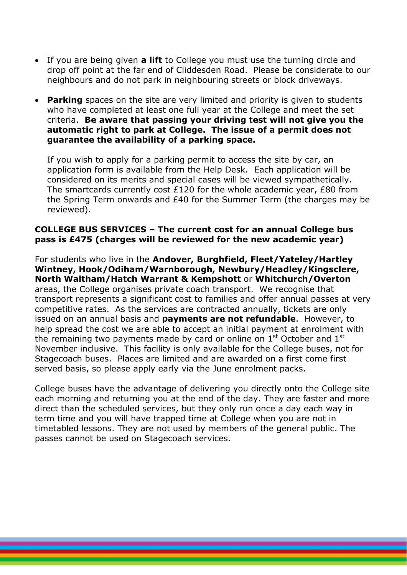- If you are being given **a lift** to College you must use the turning circle and drop off point at the far end of Cliddesden Road. Please be considerate to our neighbours and do not park in neighbouring streets or block driveways.
- **Parking** spaces on the site are very limited and priority is given to students who have completed at least one full year at the College and meet the set criteria. **Be aware that passing your driving test will not give you the automatic right to park at College. The issue of a permit does not guarantee the availability of a parking space.**

If you wish to apply for a parking permit to access the site by car, an application form is available from the Help Desk. Each application will be considered on its merits and special cases will be viewed sympathetically. The smartcards currently cost £120 for the whole academic year, £80 from the Spring Term onwards and £40 for the Summer Term (the charges may be reviewed).

#### **COLLEGE BUS SERVICES – The current cost for an annual College bus pass is £475 (charges will be reviewed for the new academic year)**

For students who live in the **Andover, Burghfield, Fleet/Yateley/Hartley Wintney, Hook/Odiham/Warnborough, Newbury/Headley/Kingsclere, North Waltham/Hatch Warrant & Kempshott** or **Whitchurch/Overton** areas, the College organises private coach transport. We recognise that transport represents a significant cost to families and offer annual passes at very competitive rates. As the services are contracted annually, tickets are only issued on an annual basis and **payments are not refundable**. However, to help spread the cost we are able to accept an initial payment at enrolment with the remaining two payments made by card or online on  $1<sup>st</sup>$  October and  $1<sup>st</sup>$ November inclusive. This facility is only available for the College buses, not for Stagecoach buses. Places are limited and are awarded on a first come first served basis, so please apply early via the June enrolment packs.

College buses have the advantage of delivering you directly onto the College site each morning and returning you at the end of the day. They are faster and more direct than the scheduled services, but they only run once a day each way in term time and you will have trapped time at College when you are not in timetabled lessons. They are not used by members of the general public. The passes cannot be used on Stagecoach services.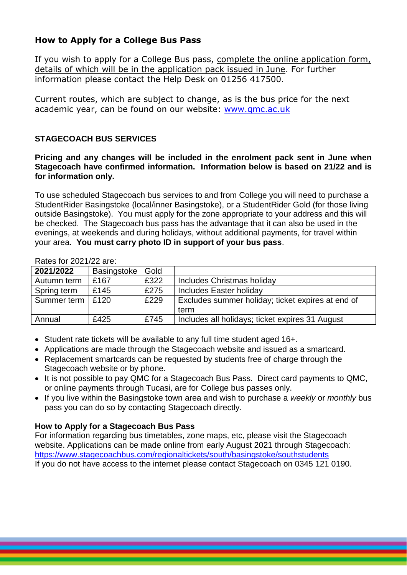## **How to Apply for a College Bus Pass**

If you wish to apply for a College Bus pass, complete the online application form, details of which will be in the application pack issued in June. For further information please contact the Help Desk on 01256 417500.

Current routes, which are subject to change, as is the bus price for the next academic year, can be found on our website: www.gmc.ac.uk

#### **STAGECOACH BUS SERVICES**

**Pricing and any changes will be included in the enrolment pack sent in June when Stagecoach have confirmed information. Information below is based on 21/22 and is for information only.**

To use scheduled Stagecoach bus services to and from College you will need to purchase a StudentRider Basingstoke (local/inner Basingstoke), or a StudentRider Gold (for those living outside Basingstoke). You must apply for the zone appropriate to your address and this will be checked. The Stagecoach bus pass has the advantage that it can also be used in the evenings, at weekends and during holidays, without additional payments, for travel within your area. **You must carry photo ID in support of your bus pass**.

| NGO 101 ZUZ 1122 GIU. |             |      |                                                   |
|-----------------------|-------------|------|---------------------------------------------------|
| 2021/2022             | Basingstoke | Gold |                                                   |
| Autumn term           | £167        | £322 | Includes Christmas holiday                        |
| Spring term           | £145        | £275 | Includes Easter holiday                           |
| Summer term   £120    |             | £229 | Excludes summer holiday; ticket expires at end of |
|                       |             |      | term                                              |
| Annual                | £425        | £745 | Includes all holidays; ticket expires 31 August   |

#### Rates for 2021/22 are:

- Student rate tickets will be available to any full time student aged 16+.
- Applications are made through the Stagecoach website and issued as a smartcard.
- Replacement smartcards can be requested by students free of charge through the Stagecoach website or by phone.
- It is not possible to pay QMC for a Stagecoach Bus Pass. Direct card payments to QMC, or online payments through Tucasi, are for College bus passes only.
- If you live within the Basingstoke town area and wish to purchase a *weekly* or *monthly* bus pass you can do so by contacting Stagecoach directly.

#### **How to Apply for a Stagecoach Bus Pass**

For information regarding bus timetables, zone maps, etc, please visit the Stagecoach website. Applications can be made online from early August 2021 through Stagecoach: [https://www.stagecoachbus.com/regionaltickets/south/basingstoke/southstudents](https://url4.mailanyone.net/v1/?m=1lCj0P-000AOZ-47&i=57e1b682&c=4r8BI7Z6CPCyfx7VxOte6efElqEKNCqqaAb42lsK4OrloKmZoJJI8sbNFbIh_CI6ymenbseshY2u9iRGugan2Kz_gs0Gj-7_o13gCBpVkhZP0FdScEUm2EFVr7L0U3jFQq29azuLCBThtV65Uhn8RYxZIOlmbqxmqc1z-h94BI-X70fa0lxRWO2hVcKkyA6RiQzeWs2km9l9lP6CBp100hwhxaaDyfpLbKZ1s5a8vkHn5H3-J_cs1JccIjHdMyDQ4kkjaGKj3mEVxY4sEXj3FuS2amELUFGaepGN5LJKFVM) If you do not have access to the internet please contact Stagecoach on 0345 121 0190.